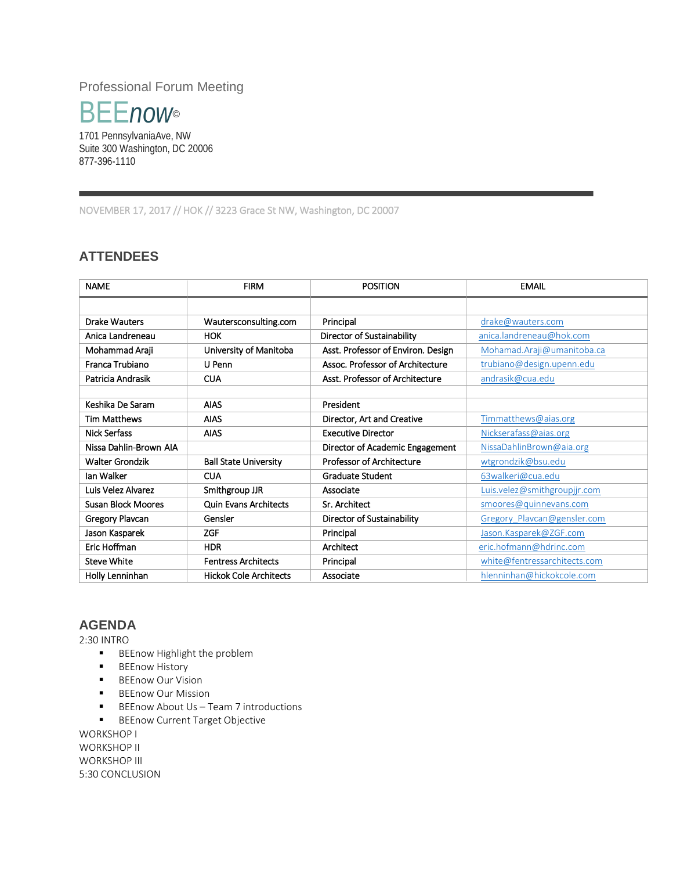Professional Forum Meeting



1701 PennsylvaniaAve, NW Suite 300 Washington, DC 20006 877-396-1110

NOVEMBER 17, 2017 // HOK // 3223 Grace St NW, Washington, DC 20007

## **ATTENDEES**

| <b>NAME</b>               | <b>FIRM</b>                   | <b>POSITION</b>                    | <b>EMAIL</b>                 |
|---------------------------|-------------------------------|------------------------------------|------------------------------|
|                           |                               |                                    |                              |
| <b>Drake Wauters</b>      | Wautersconsulting.com         | Principal                          | drake@wauters.com            |
| Anica Landreneau          | <b>HOK</b>                    | Director of Sustainability         | anica.landreneau@hok.com     |
| Mohammad Araji            | University of Manitoba        | Asst. Professor of Environ. Design | Mohamad.Araji@umanitoba.ca   |
| Franca Trubiano           | U Penn                        | Assoc. Professor of Architecture   | trubiano@design.upenn.edu    |
| Patricia Andrasik         | <b>CUA</b>                    | Asst. Professor of Architecture    | andrasik@cua.edu             |
|                           |                               |                                    |                              |
| Keshika De Saram          | <b>AIAS</b>                   | President                          |                              |
| <b>Tim Matthews</b>       | <b>AIAS</b>                   | Director, Art and Creative         | Timmatthews@aias.org         |
| <b>Nick Serfass</b>       | <b>AIAS</b>                   | <b>Executive Director</b>          | Nickserafass@aias.org        |
| Nissa Dahlin-Brown AIA    |                               | Director of Academic Engagement    | Nissa Dahlin Brown@aia.org   |
| <b>Walter Grondzik</b>    | <b>Ball State University</b>  | Professor of Architecture          | wtgrondzik@bsu.edu           |
| lan Walker                | <b>CUA</b>                    | <b>Graduate Student</b>            | 63 walkeri@cua.edu           |
| Luis Velez Alvarez        | Smithgroup JJR                | Associate                          | Luis.velez@smithgroupjjr.com |
| <b>Susan Block Moores</b> | <b>Quin Evans Architects</b>  | Sr. Architect                      | smoores@quinnevans.com       |
| Gregory Plavcan           | Gensler                       | Director of Sustainability         | Gregory Plavcan@gensler.com  |
| Jason Kasparek            | <b>ZGF</b>                    | Principal                          | Jason.Kasparek@ZGF.com       |
| Eric Hoffman              | <b>HDR</b>                    | Architect                          | eric.hofmann@hdrinc.com      |
| <b>Steve White</b>        | <b>Fentress Architects</b>    | Principal                          | white@fentressarchitects.com |
| Holly Lenninhan           | <b>Hickok Cole Architects</b> | Associate                          | hlenninhan@hickokcole.com    |

## **AGENDA**

2:30 INTRO

- **BEEnow Highlight the problem**
- **BEEnow History**
- **BEEnow Our Vision**
- **BEEnow Our Mission**
- **BEEnow About Us Team 7 introductions**
- **BEEnow Current Target Objective**

WORKSHOP I WORKSHOP II WORKSHOP III 5:30 CONCLUSION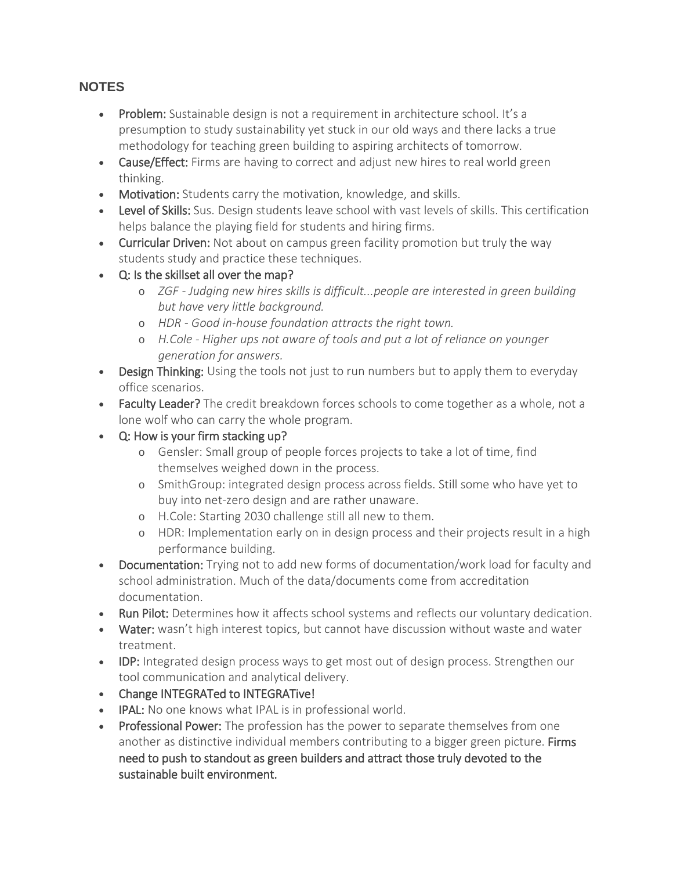## **NOTES**

- Problem: Sustainable design is not a requirement in architecture school. It's a presumption to study sustainability yet stuck in our old ways and there lacks a true methodology for teaching green building to aspiring architects of tomorrow.
- Cause/Effect: Firms are having to correct and adjust new hires to real world green thinking.
- Motivation: Students carry the motivation, knowledge, and skills.
- Level of Skills: Sus. Design students leave school with vast levels of skills. This certification helps balance the playing field for students and hiring firms.
- Curricular Driven: Not about on campus green facility promotion but truly the way students study and practice these techniques.
- Q: Is the skillset all over the map?
	- o *ZGF - Judging new hires skills is difficult...people are interested in green building but have very little background.*
	- o *HDR - Good in-house foundation attracts the right town.*
	- o *H.Cole - Higher ups not aware of tools and put a lot of reliance on younger generation for answers.*
- Design Thinking: Using the tools not just to run numbers but to apply them to everyday office scenarios.
- Faculty Leader? The credit breakdown forces schools to come together as a whole, not a lone wolf who can carry the whole program.
- Q: How is your firm stacking up?
	- o Gensler: Small group of people forces projects to take a lot of time, find themselves weighed down in the process.
	- o SmithGroup: integrated design process across fields. Still some who have yet to buy into net-zero design and are rather unaware.
	- o H.Cole: Starting 2030 challenge still all new to them.
	- o HDR: Implementation early on in design process and their projects result in a high performance building.
- Documentation: Trying not to add new forms of documentation/work load for faculty and school administration. Much of the data/documents come from accreditation documentation.
- Run Pilot: Determines how it affects school systems and reflects our voluntary dedication.
- Water: wasn't high interest topics, but cannot have discussion without waste and water treatment.
- IDP: Integrated design process ways to get most out of design process. Strengthen our tool communication and analytical delivery.
- Change INTEGRATed to INTEGRATive!
- IPAL: No one knows what IPAL is in professional world.
- Professional Power: The profession has the power to separate themselves from one another as distinctive individual members contributing to a bigger green picture. Firms need to push to standout as green builders and attract those truly devoted to the sustainable built environment.